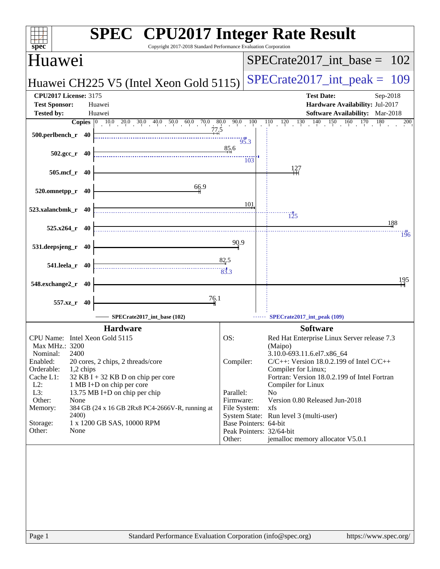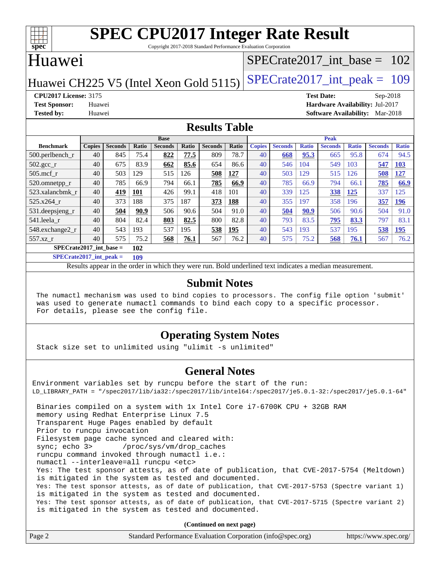

# **[SPEC CPU2017 Integer Rate Result](http://www.spec.org/auto/cpu2017/Docs/result-fields.html#SPECCPU2017IntegerRateResult)**

Copyright 2017-2018 Standard Performance Evaluation Corporation

## Huawei

#### [SPECrate2017\\_int\\_base =](http://www.spec.org/auto/cpu2017/Docs/result-fields.html#SPECrate2017intbase) 102

## Huawei CH225 V5 (Intel Xeon Gold 5115) SPECrate  $2017$  int peak = 109

#### **[CPU2017 License:](http://www.spec.org/auto/cpu2017/Docs/result-fields.html#CPU2017License)** 3175 **[Test Date:](http://www.spec.org/auto/cpu2017/Docs/result-fields.html#TestDate)** Sep-2018

**[Test Sponsor:](http://www.spec.org/auto/cpu2017/Docs/result-fields.html#TestSponsor)** Huawei **[Hardware Availability:](http://www.spec.org/auto/cpu2017/Docs/result-fields.html#HardwareAvailability)** Jul-2017 **[Tested by:](http://www.spec.org/auto/cpu2017/Docs/result-fields.html#Testedby)** Huawei **[Software Availability:](http://www.spec.org/auto/cpu2017/Docs/result-fields.html#SoftwareAvailability)** Mar-2018

#### **[Results Table](http://www.spec.org/auto/cpu2017/Docs/result-fields.html#ResultsTable)**

|                           | <b>Base</b>   |                |            |                |       | <b>Peak</b>    |            |               |                |              |                |              |                |              |
|---------------------------|---------------|----------------|------------|----------------|-------|----------------|------------|---------------|----------------|--------------|----------------|--------------|----------------|--------------|
| <b>Benchmark</b>          | <b>Copies</b> | <b>Seconds</b> | Ratio      | <b>Seconds</b> | Ratio | <b>Seconds</b> | Ratio      | <b>Copies</b> | <b>Seconds</b> | <b>Ratio</b> | <b>Seconds</b> | <b>Ratio</b> | <b>Seconds</b> | <b>Ratio</b> |
| $500.$ perlbench_r        | 40            | 845            | 75.4       | 822            | 77.5  | 809            | 78.7       | 40            | 668            | 95.3         | 665            | 95.8         | 674            | 94.5         |
| $502.\text{sec}$          | 40            | 675            | 83.9       | 662            | 85.6  | 654            | 86.6       | 40            | 546            | 104          | 549            | 103          | 547            | 103          |
| $505$ .mcf r              | 40            | 503            | 129        | 515            | 126   | 508            | 127        | 40            | 503            | 129          | 515            | 126          | 508            | 127          |
| 520.omnetpp_r             | 40            | 785            | 66.9       | 794            | 66.1  | 785            | 66.9       | 40            | 785            | 66.9         | 794            | 66.1         | 785            | 66.9         |
| 523.xalancbmk r           | 40            | 419            | <b>101</b> | 426            | 99.1  | 418            | 101        | 40            | 339            | 125          | 338            | 125          | 337            | 125          |
| $525.x264$ r              | 40            | 373            | 188        | 375            | 187   | 373            | 188        | 40            | 355            | 197          | 358            | 196          | 357            | 196          |
| 531.deepsjeng_r           | 40            | 504            | 90.9       | 506            | 90.6  | 504            | 91.0       | 40            | 504            | 90.9         | 506            | 90.6         | 504            | 91.0         |
| 541.leela r               | 40            | 804            | 82.4       | 803            | 82.5  | 800            | 82.8       | 40            | 793            | 83.5         | 795            | 83.3         | 797            | 83.1         |
| 548.exchange2_r           | 40            | 543            | 193        | 537            | 195   | 538            | <u>195</u> | 40            | 543            | 193          | 537            | 195          | 538            | 195          |
| 557.xz r                  | 40            | 575            | 75.2       | 568            | 76.1  | 567            | 76.2       | 40            | 575            | 75.2         | 568            | 76.1         | 567            | 76.2         |
| $SPECrate2017$ int base = |               |                | 102        |                |       |                |            |               |                |              |                |              |                |              |

**[SPECrate2017\\_int\\_peak =](http://www.spec.org/auto/cpu2017/Docs/result-fields.html#SPECrate2017intpeak) 109**

Results appear in the [order in which they were run.](http://www.spec.org/auto/cpu2017/Docs/result-fields.html#RunOrder) Bold underlined text [indicates a median measurement.](http://www.spec.org/auto/cpu2017/Docs/result-fields.html#Median)

#### **[Submit Notes](http://www.spec.org/auto/cpu2017/Docs/result-fields.html#SubmitNotes)**

 The numactl mechanism was used to bind copies to processors. The config file option 'submit' was used to generate numactl commands to bind each copy to a specific processor. For details, please see the config file.

#### **[Operating System Notes](http://www.spec.org/auto/cpu2017/Docs/result-fields.html#OperatingSystemNotes)**

Stack size set to unlimited using "ulimit -s unlimited"

#### **[General Notes](http://www.spec.org/auto/cpu2017/Docs/result-fields.html#GeneralNotes)**

Environment variables set by runcpu before the start of the run: LD\_LIBRARY\_PATH = "/spec2017/lib/ia32:/spec2017/lib/intel64:/spec2017/je5.0.1-32:/spec2017/je5.0.1-64" Binaries compiled on a system with 1x Intel Core i7-6700K CPU + 32GB RAM memory using Redhat Enterprise Linux 7.5 Transparent Huge Pages enabled by default Prior to runcpu invocation Filesystem page cache synced and cleared with: sync; echo 3> /proc/sys/vm/drop\_caches runcpu command invoked through numactl i.e.: numactl --interleave=all runcpu <etc> Yes: The test sponsor attests, as of date of publication, that CVE-2017-5754 (Meltdown) is mitigated in the system as tested and documented. Yes: The test sponsor attests, as of date of publication, that CVE-2017-5753 (Spectre variant 1) is mitigated in the system as tested and documented. Yes: The test sponsor attests, as of date of publication, that CVE-2017-5715 (Spectre variant 2) is mitigated in the system as tested and documented.

**(Continued on next page)**

| Page 2<br>Standard Performance Evaluation Corporation (info@spec.org)<br>https://www.spec.org/ |
|------------------------------------------------------------------------------------------------|
|------------------------------------------------------------------------------------------------|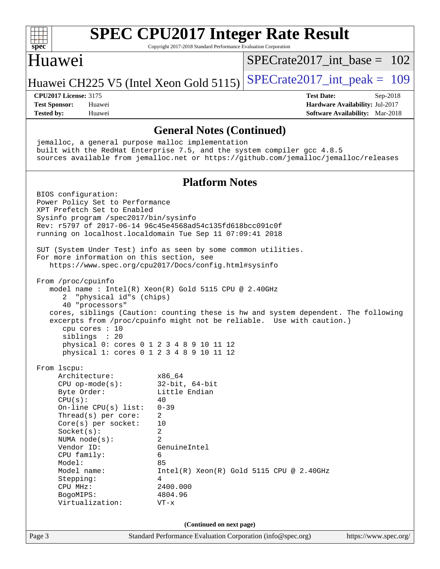| spec                                                                                                                                                                                                                                                                                                                                                                                                                                                        | <b>SPEC CPU2017 Integer Rate Result</b><br>Copyright 2017-2018 Standard Performance Evaluation Corporation                                                                                                                                                                                                                |                                          |                                                                                         |  |
|-------------------------------------------------------------------------------------------------------------------------------------------------------------------------------------------------------------------------------------------------------------------------------------------------------------------------------------------------------------------------------------------------------------------------------------------------------------|---------------------------------------------------------------------------------------------------------------------------------------------------------------------------------------------------------------------------------------------------------------------------------------------------------------------------|------------------------------------------|-----------------------------------------------------------------------------------------|--|
| Huawei                                                                                                                                                                                                                                                                                                                                                                                                                                                      |                                                                                                                                                                                                                                                                                                                           | $SPECrate2017$ int base = 102            |                                                                                         |  |
| Huawei CH225 V5 (Intel Xeon Gold 5115)                                                                                                                                                                                                                                                                                                                                                                                                                      |                                                                                                                                                                                                                                                                                                                           | $SPECrate2017\_int\_peak = 109$          |                                                                                         |  |
| <b>CPU2017 License: 3175</b><br><b>Test Sponsor:</b><br>Huawei<br><b>Tested by:</b><br>Huawei                                                                                                                                                                                                                                                                                                                                                               |                                                                                                                                                                                                                                                                                                                           | <b>Test Date:</b>                        | $Sep-2018$<br>Hardware Availability: Jul-2017<br><b>Software Availability:</b> Mar-2018 |  |
|                                                                                                                                                                                                                                                                                                                                                                                                                                                             | <b>General Notes (Continued)</b>                                                                                                                                                                                                                                                                                          |                                          |                                                                                         |  |
| jemalloc, a general purpose malloc implementation<br>built with the RedHat Enterprise 7.5, and the system compiler gcc 4.8.5<br>sources available from jemalloc.net or https://github.com/jemalloc/jemalloc/releases                                                                                                                                                                                                                                        |                                                                                                                                                                                                                                                                                                                           |                                          |                                                                                         |  |
|                                                                                                                                                                                                                                                                                                                                                                                                                                                             | <b>Platform Notes</b>                                                                                                                                                                                                                                                                                                     |                                          |                                                                                         |  |
| Power Policy Set to Performance<br>XPT Prefetch Set to Enabled<br>Sysinfo program /spec2017/bin/sysinfo<br>Rev: r5797 of 2017-06-14 96c45e4568ad54c135fd618bcc091c0f<br>running on localhost.localdomain Tue Sep 11 07:09:41 2018<br>SUT (System Under Test) info as seen by some common utilities.<br>For more information on this section, see<br>From /proc/cpuinfo<br>"physical id"s (chips)<br>2<br>40 "processors"<br>cpu cores : 10<br>siblings : 20 | https://www.spec.org/cpu2017/Docs/config.html#sysinfo<br>model name : Intel(R) Xeon(R) Gold 5115 CPU @ 2.40GHz<br>cores, siblings (Caution: counting these is hw and system dependent. The following<br>excerpts from /proc/cpuinfo might not be reliable. Use with caution.)<br>physical 0: cores 0 1 2 3 4 8 9 10 11 12 |                                          |                                                                                         |  |
| From lscpu:<br>Architecture:<br>$CPU$ op-mode( $s$ ):<br>Byte Order:<br>CPU(s):<br>On-line $CPU(s)$ list:<br>Thread(s) per core:<br>$Core(s)$ per socket:<br>Socket(s):<br>NUMA $node(s):$<br>Vendor ID:<br>CPU family:<br>Model:<br>Model name:<br>Stepping:<br>CPU MHz:<br>BogoMIPS:<br>Virtualization:                                                                                                                                                   | physical 1: cores 0 1 2 3 4 8 9 10 11 12<br>x86 64<br>$32$ -bit, $64$ -bit<br>Little Endian<br>40<br>$0 - 39$<br>2<br>10<br>$\overline{c}$<br>$\overline{2}$<br>GenuineIntel<br>6<br>85<br>4<br>2400.000<br>4804.96<br>$VT - x$                                                                                           | Intel(R) Xeon(R) Gold 5115 CPU @ 2.40GHz |                                                                                         |  |
|                                                                                                                                                                                                                                                                                                                                                                                                                                                             | (Continued on next page)                                                                                                                                                                                                                                                                                                  |                                          |                                                                                         |  |
| Page 3                                                                                                                                                                                                                                                                                                                                                                                                                                                      | Standard Performance Evaluation Corporation (info@spec.org)                                                                                                                                                                                                                                                               |                                          | https://www.spec.org/                                                                   |  |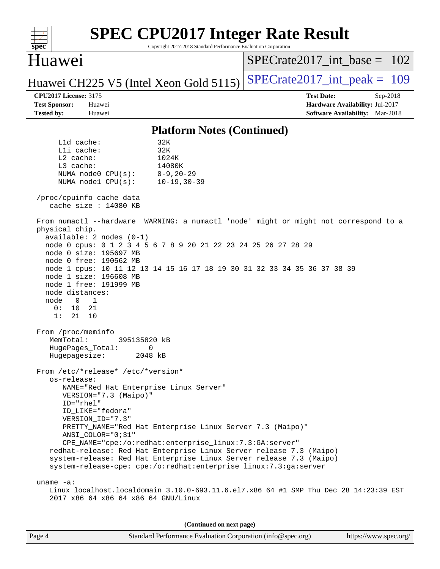| <b>SPEC CPU2017 Integer Rate Result</b><br>spec <sup>®</sup><br>Copyright 2017-2018 Standard Performance Evaluation Corporation                                                                                                                                                                                                                                                                                                                                                                                                                                                                                                                                                                                                                                                                                                                                                                                                                                                                                                                                                                                                                                                                                                                                                                                                                                                                                                                                                                                            |                                                                    |
|----------------------------------------------------------------------------------------------------------------------------------------------------------------------------------------------------------------------------------------------------------------------------------------------------------------------------------------------------------------------------------------------------------------------------------------------------------------------------------------------------------------------------------------------------------------------------------------------------------------------------------------------------------------------------------------------------------------------------------------------------------------------------------------------------------------------------------------------------------------------------------------------------------------------------------------------------------------------------------------------------------------------------------------------------------------------------------------------------------------------------------------------------------------------------------------------------------------------------------------------------------------------------------------------------------------------------------------------------------------------------------------------------------------------------------------------------------------------------------------------------------------------------|--------------------------------------------------------------------|
| Huawei                                                                                                                                                                                                                                                                                                                                                                                                                                                                                                                                                                                                                                                                                                                                                                                                                                                                                                                                                                                                                                                                                                                                                                                                                                                                                                                                                                                                                                                                                                                     | $SPECrate2017\_int\_base = 102$                                    |
| Huawei CH225 V5 (Intel Xeon Gold 5115)                                                                                                                                                                                                                                                                                                                                                                                                                                                                                                                                                                                                                                                                                                                                                                                                                                                                                                                                                                                                                                                                                                                                                                                                                                                                                                                                                                                                                                                                                     | $SPECTate2017\_int\_peak = 109$                                    |
| <b>CPU2017 License: 3175</b>                                                                                                                                                                                                                                                                                                                                                                                                                                                                                                                                                                                                                                                                                                                                                                                                                                                                                                                                                                                                                                                                                                                                                                                                                                                                                                                                                                                                                                                                                               | <b>Test Date:</b><br>Sep-2018                                      |
| <b>Test Sponsor:</b><br>Huawei<br><b>Tested by:</b><br>Huawei                                                                                                                                                                                                                                                                                                                                                                                                                                                                                                                                                                                                                                                                                                                                                                                                                                                                                                                                                                                                                                                                                                                                                                                                                                                                                                                                                                                                                                                              | Hardware Availability: Jul-2017<br>Software Availability: Mar-2018 |
| <b>Platform Notes (Continued)</b>                                                                                                                                                                                                                                                                                                                                                                                                                                                                                                                                                                                                                                                                                                                                                                                                                                                                                                                                                                                                                                                                                                                                                                                                                                                                                                                                                                                                                                                                                          |                                                                    |
| $L1d$ cache:<br>32K<br>Lli cache:<br>32K<br>L2 cache:<br>1024K<br>L3 cache:<br>14080K<br>$0 - 9, 20 - 29$<br>NUMA node0 CPU(s):<br>NUMA nodel CPU(s):<br>$10 - 19, 30 - 39$<br>/proc/cpuinfo cache data<br>cache size $: 14080$ KB<br>From numactl --hardware WARNING: a numactl 'node' might or might not correspond to a<br>physical chip.<br>$available: 2 nodes (0-1)$<br>node 0 cpus: 0 1 2 3 4 5 6 7 8 9 20 21 22 23 24 25 26 27 28 29<br>node 0 size: 195697 MB<br>node 0 free: 190562 MB<br>node 1 cpus: 10 11 12 13 14 15 16 17 18 19 30 31 32 33 34 35 36 37 38 39<br>node 1 size: 196608 MB<br>node 1 free: 191999 MB<br>node distances:<br>1<br>node<br>$\overline{0}$<br>10<br>21<br>0:<br>1:<br>21<br>10<br>From /proc/meminfo<br>MemTotal:<br>395135820 kB<br>HugePages_Total:<br>0<br>Hugepagesize:<br>2048 kB<br>From /etc/*release* /etc/*version*<br>os-release:<br>NAME="Red Hat Enterprise Linux Server"<br>VERSION="7.3 (Maipo)"<br>ID="rhel"<br>ID_LIKE="fedora"<br>VERSION ID="7.3"<br>PRETTY_NAME="Red Hat Enterprise Linux Server 7.3 (Maipo)"<br>ANSI_COLOR="0;31"<br>CPE_NAME="cpe:/o:redhat:enterprise_linux:7.3:GA:server"<br>redhat-release: Red Hat Enterprise Linux Server release 7.3 (Maipo)<br>system-release: Red Hat Enterprise Linux Server release 7.3 (Maipo)<br>system-release-cpe: cpe:/o:redhat:enterprise_linux:7.3:ga:server<br>$uname -a$ :<br>Linux localhost.localdomain 3.10.0-693.11.6.el7.x86_64 #1 SMP Thu Dec 28 14:23:39 EST<br>2017 x86_64 x86_64 x86_64 GNU/Linux |                                                                    |
|                                                                                                                                                                                                                                                                                                                                                                                                                                                                                                                                                                                                                                                                                                                                                                                                                                                                                                                                                                                                                                                                                                                                                                                                                                                                                                                                                                                                                                                                                                                            |                                                                    |
| (Continued on next page)                                                                                                                                                                                                                                                                                                                                                                                                                                                                                                                                                                                                                                                                                                                                                                                                                                                                                                                                                                                                                                                                                                                                                                                                                                                                                                                                                                                                                                                                                                   |                                                                    |
| Page 4<br>Standard Performance Evaluation Corporation (info@spec.org)                                                                                                                                                                                                                                                                                                                                                                                                                                                                                                                                                                                                                                                                                                                                                                                                                                                                                                                                                                                                                                                                                                                                                                                                                                                                                                                                                                                                                                                      | https://www.spec.org/                                              |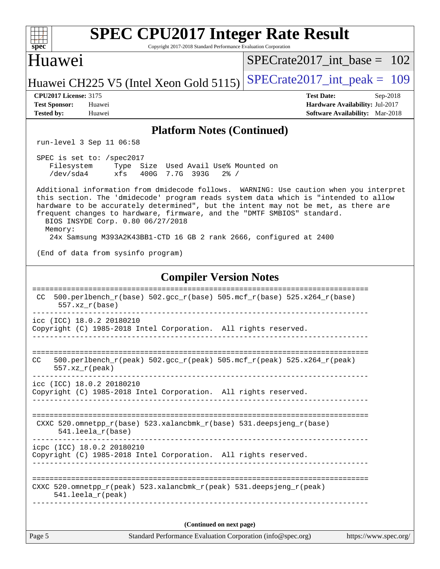| <b>SPEC CPU2017 Integer Rate Result</b><br>Copyright 2017-2018 Standard Performance Evaluation Corporation<br>$spec^*$                                                                                                                                                                                                                                                                         |                                                                                                            |
|------------------------------------------------------------------------------------------------------------------------------------------------------------------------------------------------------------------------------------------------------------------------------------------------------------------------------------------------------------------------------------------------|------------------------------------------------------------------------------------------------------------|
| <b>Huawei</b>                                                                                                                                                                                                                                                                                                                                                                                  | $SPECrate2017$ int base = 102                                                                              |
| Huawei CH225 V5 (Intel Xeon Gold 5115)                                                                                                                                                                                                                                                                                                                                                         | $SPECrate2017\_int\_peak = 109$                                                                            |
| <b>CPU2017 License: 3175</b><br><b>Test Sponsor:</b><br>Huawei<br><b>Tested by:</b><br>Huawei                                                                                                                                                                                                                                                                                                  | <b>Test Date:</b><br>Sep-2018<br>Hardware Availability: Jul-2017<br><b>Software Availability:</b> Mar-2018 |
| <b>Platform Notes (Continued)</b>                                                                                                                                                                                                                                                                                                                                                              |                                                                                                            |
| run-level 3 Sep 11 06:58                                                                                                                                                                                                                                                                                                                                                                       |                                                                                                            |
| SPEC is set to: /spec2017<br>Size Used Avail Use% Mounted on<br>Filesystem<br>Type<br>/dev/sda4<br>xfs<br>400G 7.7G 393G<br>$2\frac{8}{1}$ /                                                                                                                                                                                                                                                   |                                                                                                            |
| Additional information from dmidecode follows. WARNING: Use caution when you interpret<br>this section. The 'dmidecode' program reads system data which is "intended to allow<br>hardware to be accurately determined", but the intent may not be met, as there are<br>frequent changes to hardware, firmware, and the "DMTF SMBIOS" standard.<br>BIOS INSYDE Corp. 0.80 06/27/2018<br>Memory: |                                                                                                            |
| 24x Samsung M393A2K43BB1-CTD 16 GB 2 rank 2666, configured at 2400                                                                                                                                                                                                                                                                                                                             |                                                                                                            |
| (End of data from sysinfo program)                                                                                                                                                                                                                                                                                                                                                             |                                                                                                            |
| <b>Compiler Version Notes</b>                                                                                                                                                                                                                                                                                                                                                                  |                                                                                                            |
| $500.perlbench_r(base) 502.sec_r(base) 505.mcf_r(base) 525.x264_r(base)$<br>CC.<br>$557. xz_r(base)$                                                                                                                                                                                                                                                                                           |                                                                                                            |
| icc (ICC) 18.0.2 20180210<br>Copyright (C) 1985-2018 Intel Corporation. All rights reserved.                                                                                                                                                                                                                                                                                                   |                                                                                                            |
| 500.perlbench_r(peak) 502.gcc_r(peak) 505.mcf_r(peak) 525.x264_r(peak)<br>CC<br>$557. xz_r (peak)$<br>---------------                                                                                                                                                                                                                                                                          |                                                                                                            |
| icc (ICC) 18.0.2 20180210<br>Copyright (C) 1985-2018 Intel Corporation. All rights reserved.                                                                                                                                                                                                                                                                                                   |                                                                                                            |
| CXXC 520.omnetpp_r(base) 523.xalancbmk_r(base) 531.deepsjeng_r(base)<br>$541.$ leela $r(base)$                                                                                                                                                                                                                                                                                                 |                                                                                                            |
| icpc (ICC) 18.0.2 20180210<br>Copyright (C) 1985-2018 Intel Corporation. All rights reserved.                                                                                                                                                                                                                                                                                                  |                                                                                                            |
| CXXC 520.omnetpp_r(peak) 523.xalancbmk_r(peak) 531.deepsjeng_r(peak)<br>$541.$ leela_r(peak)<br>------------------                                                                                                                                                                                                                                                                             |                                                                                                            |
|                                                                                                                                                                                                                                                                                                                                                                                                |                                                                                                            |
| (Continued on next page)<br>Page 5<br>Standard Performance Evaluation Corporation (info@spec.org)                                                                                                                                                                                                                                                                                              | https://www.spec.org/                                                                                      |
|                                                                                                                                                                                                                                                                                                                                                                                                |                                                                                                            |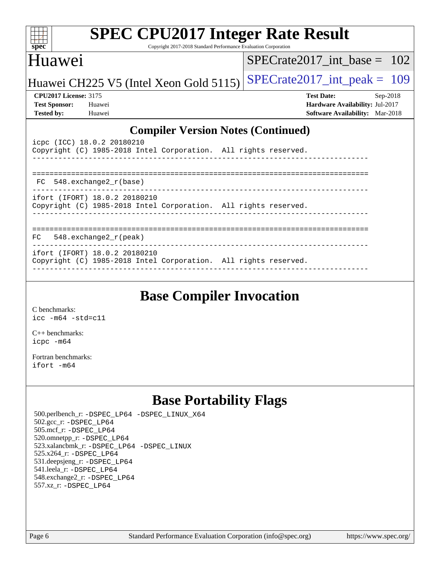| <b>SPEC CPU2017 Integer Rate Result</b><br>$spec^*$<br>Copyright 2017-2018 Standard Performance Evaluation Corporation                                                     |                                                                                                              |
|----------------------------------------------------------------------------------------------------------------------------------------------------------------------------|--------------------------------------------------------------------------------------------------------------|
| Huawei                                                                                                                                                                     | SPECrate2017 int base = $102$                                                                                |
| Huawei CH225 V5 (Intel Xeon Gold 5115)                                                                                                                                     | $SPECrate2017\_int\_peak = 109$                                                                              |
| <b>CPU2017 License: 3175</b><br><b>Test Sponsor:</b><br>Huawei<br><b>Tested by:</b><br>Huawei                                                                              | <b>Test Date:</b><br>$Sep-2018$<br>Hardware Availability: Jul-2017<br><b>Software Availability:</b> Mar-2018 |
| <b>Compiler Version Notes (Continued)</b><br>icpc (ICC) 18.0.2 20180210<br>Copyright (C) 1985-2018 Intel Corporation. All rights reserved.<br>548.exchange2_r(base)<br>FC. |                                                                                                              |
| ifort (IFORT) 18.0.2 20180210<br>Copyright (C) 1985-2018 Intel Corporation. All rights reserved.                                                                           |                                                                                                              |
| $548$ . exchange $2\degree$ r (peak)<br>FC                                                                                                                                 |                                                                                                              |
| ifort (IFORT) 18.0.2 20180210<br>Copyright (C) 1985-2018 Intel Corporation. All rights reserved.                                                                           |                                                                                                              |

## **[Base Compiler Invocation](http://www.spec.org/auto/cpu2017/Docs/result-fields.html#BaseCompilerInvocation)**

[C benchmarks](http://www.spec.org/auto/cpu2017/Docs/result-fields.html#Cbenchmarks): [icc -m64 -std=c11](http://www.spec.org/cpu2017/results/res2018q4/cpu2017-20180913-08852.flags.html#user_CCbase_intel_icc_64bit_c11_33ee0cdaae7deeeab2a9725423ba97205ce30f63b9926c2519791662299b76a0318f32ddfffdc46587804de3178b4f9328c46fa7c2b0cd779d7a61945c91cd35)

[C++ benchmarks:](http://www.spec.org/auto/cpu2017/Docs/result-fields.html#CXXbenchmarks) [icpc -m64](http://www.spec.org/cpu2017/results/res2018q4/cpu2017-20180913-08852.flags.html#user_CXXbase_intel_icpc_64bit_4ecb2543ae3f1412ef961e0650ca070fec7b7afdcd6ed48761b84423119d1bf6bdf5cad15b44d48e7256388bc77273b966e5eb805aefd121eb22e9299b2ec9d9)

[Fortran benchmarks](http://www.spec.org/auto/cpu2017/Docs/result-fields.html#Fortranbenchmarks): [ifort -m64](http://www.spec.org/cpu2017/results/res2018q4/cpu2017-20180913-08852.flags.html#user_FCbase_intel_ifort_64bit_24f2bb282fbaeffd6157abe4f878425411749daecae9a33200eee2bee2fe76f3b89351d69a8130dd5949958ce389cf37ff59a95e7a40d588e8d3a57e0c3fd751)

## **[Base Portability Flags](http://www.spec.org/auto/cpu2017/Docs/result-fields.html#BasePortabilityFlags)**

 500.perlbench\_r: [-DSPEC\\_LP64](http://www.spec.org/cpu2017/results/res2018q4/cpu2017-20180913-08852.flags.html#b500.perlbench_r_basePORTABILITY_DSPEC_LP64) [-DSPEC\\_LINUX\\_X64](http://www.spec.org/cpu2017/results/res2018q4/cpu2017-20180913-08852.flags.html#b500.perlbench_r_baseCPORTABILITY_DSPEC_LINUX_X64) 502.gcc\_r: [-DSPEC\\_LP64](http://www.spec.org/cpu2017/results/res2018q4/cpu2017-20180913-08852.flags.html#suite_basePORTABILITY502_gcc_r_DSPEC_LP64) 505.mcf\_r: [-DSPEC\\_LP64](http://www.spec.org/cpu2017/results/res2018q4/cpu2017-20180913-08852.flags.html#suite_basePORTABILITY505_mcf_r_DSPEC_LP64) 520.omnetpp\_r: [-DSPEC\\_LP64](http://www.spec.org/cpu2017/results/res2018q4/cpu2017-20180913-08852.flags.html#suite_basePORTABILITY520_omnetpp_r_DSPEC_LP64) 523.xalancbmk\_r: [-DSPEC\\_LP64](http://www.spec.org/cpu2017/results/res2018q4/cpu2017-20180913-08852.flags.html#suite_basePORTABILITY523_xalancbmk_r_DSPEC_LP64) [-DSPEC\\_LINUX](http://www.spec.org/cpu2017/results/res2018q4/cpu2017-20180913-08852.flags.html#b523.xalancbmk_r_baseCXXPORTABILITY_DSPEC_LINUX) 525.x264\_r: [-DSPEC\\_LP64](http://www.spec.org/cpu2017/results/res2018q4/cpu2017-20180913-08852.flags.html#suite_basePORTABILITY525_x264_r_DSPEC_LP64) 531.deepsjeng\_r: [-DSPEC\\_LP64](http://www.spec.org/cpu2017/results/res2018q4/cpu2017-20180913-08852.flags.html#suite_basePORTABILITY531_deepsjeng_r_DSPEC_LP64) 541.leela\_r: [-DSPEC\\_LP64](http://www.spec.org/cpu2017/results/res2018q4/cpu2017-20180913-08852.flags.html#suite_basePORTABILITY541_leela_r_DSPEC_LP64) 548.exchange2\_r: [-DSPEC\\_LP64](http://www.spec.org/cpu2017/results/res2018q4/cpu2017-20180913-08852.flags.html#suite_basePORTABILITY548_exchange2_r_DSPEC_LP64) 557.xz\_r: [-DSPEC\\_LP64](http://www.spec.org/cpu2017/results/res2018q4/cpu2017-20180913-08852.flags.html#suite_basePORTABILITY557_xz_r_DSPEC_LP64)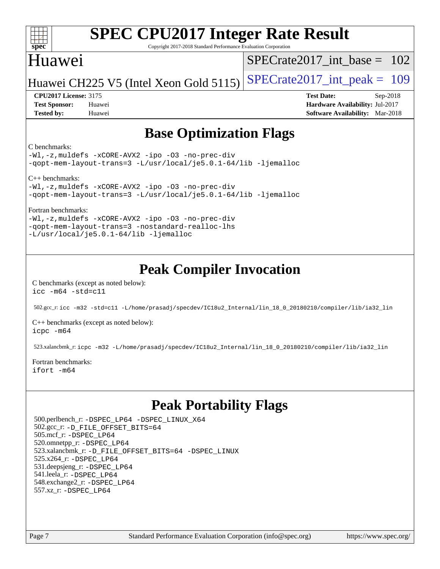#### $\pm\pm\prime$ **[spec](http://www.spec.org/)**

# **[SPEC CPU2017 Integer Rate Result](http://www.spec.org/auto/cpu2017/Docs/result-fields.html#SPECCPU2017IntegerRateResult)**

Copyright 2017-2018 Standard Performance Evaluation Corporation

## Huawei

[SPECrate2017\\_int\\_base =](http://www.spec.org/auto/cpu2017/Docs/result-fields.html#SPECrate2017intbase) 102

Huawei CH225 V5 (Intel Xeon Gold 5115) SPECrate  $2017$  int peak = 109

**[CPU2017 License:](http://www.spec.org/auto/cpu2017/Docs/result-fields.html#CPU2017License)** 3175 **[Test Date:](http://www.spec.org/auto/cpu2017/Docs/result-fields.html#TestDate)** Sep-2018 **[Test Sponsor:](http://www.spec.org/auto/cpu2017/Docs/result-fields.html#TestSponsor)** Huawei **[Hardware Availability:](http://www.spec.org/auto/cpu2017/Docs/result-fields.html#HardwareAvailability)** Jul-2017 **[Tested by:](http://www.spec.org/auto/cpu2017/Docs/result-fields.html#Testedby)** Huawei **[Software Availability:](http://www.spec.org/auto/cpu2017/Docs/result-fields.html#SoftwareAvailability)** Mar-2018

## **[Base Optimization Flags](http://www.spec.org/auto/cpu2017/Docs/result-fields.html#BaseOptimizationFlags)**

#### [C benchmarks:](http://www.spec.org/auto/cpu2017/Docs/result-fields.html#Cbenchmarks)

[-Wl,-z,muldefs](http://www.spec.org/cpu2017/results/res2018q4/cpu2017-20180913-08852.flags.html#user_CCbase_link_force_multiple1_b4cbdb97b34bdee9ceefcfe54f4c8ea74255f0b02a4b23e853cdb0e18eb4525ac79b5a88067c842dd0ee6996c24547a27a4b99331201badda8798ef8a743f577) [-xCORE-AVX2](http://www.spec.org/cpu2017/results/res2018q4/cpu2017-20180913-08852.flags.html#user_CCbase_f-xCORE-AVX2) [-ipo](http://www.spec.org/cpu2017/results/res2018q4/cpu2017-20180913-08852.flags.html#user_CCbase_f-ipo) [-O3](http://www.spec.org/cpu2017/results/res2018q4/cpu2017-20180913-08852.flags.html#user_CCbase_f-O3) [-no-prec-div](http://www.spec.org/cpu2017/results/res2018q4/cpu2017-20180913-08852.flags.html#user_CCbase_f-no-prec-div) [-qopt-mem-layout-trans=3](http://www.spec.org/cpu2017/results/res2018q4/cpu2017-20180913-08852.flags.html#user_CCbase_f-qopt-mem-layout-trans_de80db37974c74b1f0e20d883f0b675c88c3b01e9d123adea9b28688d64333345fb62bc4a798493513fdb68f60282f9a726aa07f478b2f7113531aecce732043) [-L/usr/local/je5.0.1-64/lib](http://www.spec.org/cpu2017/results/res2018q4/cpu2017-20180913-08852.flags.html#user_CCbase_jemalloc_link_path64_4b10a636b7bce113509b17f3bd0d6226c5fb2346b9178c2d0232c14f04ab830f976640479e5c33dc2bcbbdad86ecfb6634cbbd4418746f06f368b512fced5394) [-ljemalloc](http://www.spec.org/cpu2017/results/res2018q4/cpu2017-20180913-08852.flags.html#user_CCbase_jemalloc_link_lib_d1249b907c500fa1c0672f44f562e3d0f79738ae9e3c4a9c376d49f265a04b9c99b167ecedbf6711b3085be911c67ff61f150a17b3472be731631ba4d0471706)

[C++ benchmarks](http://www.spec.org/auto/cpu2017/Docs/result-fields.html#CXXbenchmarks):

[-Wl,-z,muldefs](http://www.spec.org/cpu2017/results/res2018q4/cpu2017-20180913-08852.flags.html#user_CXXbase_link_force_multiple1_b4cbdb97b34bdee9ceefcfe54f4c8ea74255f0b02a4b23e853cdb0e18eb4525ac79b5a88067c842dd0ee6996c24547a27a4b99331201badda8798ef8a743f577) [-xCORE-AVX2](http://www.spec.org/cpu2017/results/res2018q4/cpu2017-20180913-08852.flags.html#user_CXXbase_f-xCORE-AVX2) [-ipo](http://www.spec.org/cpu2017/results/res2018q4/cpu2017-20180913-08852.flags.html#user_CXXbase_f-ipo) [-O3](http://www.spec.org/cpu2017/results/res2018q4/cpu2017-20180913-08852.flags.html#user_CXXbase_f-O3) [-no-prec-div](http://www.spec.org/cpu2017/results/res2018q4/cpu2017-20180913-08852.flags.html#user_CXXbase_f-no-prec-div) [-qopt-mem-layout-trans=3](http://www.spec.org/cpu2017/results/res2018q4/cpu2017-20180913-08852.flags.html#user_CXXbase_f-qopt-mem-layout-trans_de80db37974c74b1f0e20d883f0b675c88c3b01e9d123adea9b28688d64333345fb62bc4a798493513fdb68f60282f9a726aa07f478b2f7113531aecce732043) [-L/usr/local/je5.0.1-64/lib](http://www.spec.org/cpu2017/results/res2018q4/cpu2017-20180913-08852.flags.html#user_CXXbase_jemalloc_link_path64_4b10a636b7bce113509b17f3bd0d6226c5fb2346b9178c2d0232c14f04ab830f976640479e5c33dc2bcbbdad86ecfb6634cbbd4418746f06f368b512fced5394) [-ljemalloc](http://www.spec.org/cpu2017/results/res2018q4/cpu2017-20180913-08852.flags.html#user_CXXbase_jemalloc_link_lib_d1249b907c500fa1c0672f44f562e3d0f79738ae9e3c4a9c376d49f265a04b9c99b167ecedbf6711b3085be911c67ff61f150a17b3472be731631ba4d0471706)

[Fortran benchmarks:](http://www.spec.org/auto/cpu2017/Docs/result-fields.html#Fortranbenchmarks)

[-Wl,-z,muldefs](http://www.spec.org/cpu2017/results/res2018q4/cpu2017-20180913-08852.flags.html#user_FCbase_link_force_multiple1_b4cbdb97b34bdee9ceefcfe54f4c8ea74255f0b02a4b23e853cdb0e18eb4525ac79b5a88067c842dd0ee6996c24547a27a4b99331201badda8798ef8a743f577) [-xCORE-AVX2](http://www.spec.org/cpu2017/results/res2018q4/cpu2017-20180913-08852.flags.html#user_FCbase_f-xCORE-AVX2) [-ipo](http://www.spec.org/cpu2017/results/res2018q4/cpu2017-20180913-08852.flags.html#user_FCbase_f-ipo) [-O3](http://www.spec.org/cpu2017/results/res2018q4/cpu2017-20180913-08852.flags.html#user_FCbase_f-O3) [-no-prec-div](http://www.spec.org/cpu2017/results/res2018q4/cpu2017-20180913-08852.flags.html#user_FCbase_f-no-prec-div) [-qopt-mem-layout-trans=3](http://www.spec.org/cpu2017/results/res2018q4/cpu2017-20180913-08852.flags.html#user_FCbase_f-qopt-mem-layout-trans_de80db37974c74b1f0e20d883f0b675c88c3b01e9d123adea9b28688d64333345fb62bc4a798493513fdb68f60282f9a726aa07f478b2f7113531aecce732043) [-nostandard-realloc-lhs](http://www.spec.org/cpu2017/results/res2018q4/cpu2017-20180913-08852.flags.html#user_FCbase_f_2003_std_realloc_82b4557e90729c0f113870c07e44d33d6f5a304b4f63d4c15d2d0f1fab99f5daaed73bdb9275d9ae411527f28b936061aa8b9c8f2d63842963b95c9dd6426b8a) [-L/usr/local/je5.0.1-64/lib](http://www.spec.org/cpu2017/results/res2018q4/cpu2017-20180913-08852.flags.html#user_FCbase_jemalloc_link_path64_4b10a636b7bce113509b17f3bd0d6226c5fb2346b9178c2d0232c14f04ab830f976640479e5c33dc2bcbbdad86ecfb6634cbbd4418746f06f368b512fced5394) [-ljemalloc](http://www.spec.org/cpu2017/results/res2018q4/cpu2017-20180913-08852.flags.html#user_FCbase_jemalloc_link_lib_d1249b907c500fa1c0672f44f562e3d0f79738ae9e3c4a9c376d49f265a04b9c99b167ecedbf6711b3085be911c67ff61f150a17b3472be731631ba4d0471706)

## **[Peak Compiler Invocation](http://www.spec.org/auto/cpu2017/Docs/result-fields.html#PeakCompilerInvocation)**

[C benchmarks \(except as noted below\)](http://www.spec.org/auto/cpu2017/Docs/result-fields.html#Cbenchmarksexceptasnotedbelow): [icc -m64 -std=c11](http://www.spec.org/cpu2017/results/res2018q4/cpu2017-20180913-08852.flags.html#user_CCpeak_intel_icc_64bit_c11_33ee0cdaae7deeeab2a9725423ba97205ce30f63b9926c2519791662299b76a0318f32ddfffdc46587804de3178b4f9328c46fa7c2b0cd779d7a61945c91cd35)

502.gcc\_r: [icc -m32 -std=c11 -L/home/prasadj/specdev/IC18u2\\_Internal/lin\\_18\\_0\\_20180210/compiler/lib/ia32\\_lin](http://www.spec.org/cpu2017/results/res2018q4/cpu2017-20180913-08852.flags.html#user_peakCCLD502_gcc_r_intel_icc_a481ac844e7127046fad14d498c730a1848fa901fbbb2c3dfdd5e9fbbac777c8009953946d55d8b6afe8ed0da70dd2b4f8dedbdf7ab1ee211ba70d24a5d89f85)

[C++ benchmarks \(except as noted below\):](http://www.spec.org/auto/cpu2017/Docs/result-fields.html#CXXbenchmarksexceptasnotedbelow) [icpc -m64](http://www.spec.org/cpu2017/results/res2018q4/cpu2017-20180913-08852.flags.html#user_CXXpeak_intel_icpc_64bit_4ecb2543ae3f1412ef961e0650ca070fec7b7afdcd6ed48761b84423119d1bf6bdf5cad15b44d48e7256388bc77273b966e5eb805aefd121eb22e9299b2ec9d9)

523.xalancbmk\_r: [icpc -m32 -L/home/prasadj/specdev/IC18u2\\_Internal/lin\\_18\\_0\\_20180210/compiler/lib/ia32\\_lin](http://www.spec.org/cpu2017/results/res2018q4/cpu2017-20180913-08852.flags.html#user_peakCXXLD523_xalancbmk_r_intel_icpc_c6d030cd79af6ea7d6fb64c57e8fe7ae8fe0b96fc5a3b3f4a10e3273b3d7fa9decd8263f6330cef23f751cb093a69fae84a2bf4c243500a8eed069248128076f)

[Fortran benchmarks](http://www.spec.org/auto/cpu2017/Docs/result-fields.html#Fortranbenchmarks): [ifort -m64](http://www.spec.org/cpu2017/results/res2018q4/cpu2017-20180913-08852.flags.html#user_FCpeak_intel_ifort_64bit_24f2bb282fbaeffd6157abe4f878425411749daecae9a33200eee2bee2fe76f3b89351d69a8130dd5949958ce389cf37ff59a95e7a40d588e8d3a57e0c3fd751)

## **[Peak Portability Flags](http://www.spec.org/auto/cpu2017/Docs/result-fields.html#PeakPortabilityFlags)**

 500.perlbench\_r: [-DSPEC\\_LP64](http://www.spec.org/cpu2017/results/res2018q4/cpu2017-20180913-08852.flags.html#b500.perlbench_r_peakPORTABILITY_DSPEC_LP64) [-DSPEC\\_LINUX\\_X64](http://www.spec.org/cpu2017/results/res2018q4/cpu2017-20180913-08852.flags.html#b500.perlbench_r_peakCPORTABILITY_DSPEC_LINUX_X64) 502.gcc\_r: [-D\\_FILE\\_OFFSET\\_BITS=64](http://www.spec.org/cpu2017/results/res2018q4/cpu2017-20180913-08852.flags.html#user_peakPORTABILITY502_gcc_r_file_offset_bits_64_5ae949a99b284ddf4e95728d47cb0843d81b2eb0e18bdfe74bbf0f61d0b064f4bda2f10ea5eb90e1dcab0e84dbc592acfc5018bc955c18609f94ddb8d550002c) 505.mcf\_r: [-DSPEC\\_LP64](http://www.spec.org/cpu2017/results/res2018q4/cpu2017-20180913-08852.flags.html#suite_peakPORTABILITY505_mcf_r_DSPEC_LP64) 520.omnetpp\_r: [-DSPEC\\_LP64](http://www.spec.org/cpu2017/results/res2018q4/cpu2017-20180913-08852.flags.html#suite_peakPORTABILITY520_omnetpp_r_DSPEC_LP64) 523.xalancbmk\_r: [-D\\_FILE\\_OFFSET\\_BITS=64](http://www.spec.org/cpu2017/results/res2018q4/cpu2017-20180913-08852.flags.html#user_peakPORTABILITY523_xalancbmk_r_file_offset_bits_64_5ae949a99b284ddf4e95728d47cb0843d81b2eb0e18bdfe74bbf0f61d0b064f4bda2f10ea5eb90e1dcab0e84dbc592acfc5018bc955c18609f94ddb8d550002c) [-DSPEC\\_LINUX](http://www.spec.org/cpu2017/results/res2018q4/cpu2017-20180913-08852.flags.html#b523.xalancbmk_r_peakCXXPORTABILITY_DSPEC_LINUX) 525.x264\_r: [-DSPEC\\_LP64](http://www.spec.org/cpu2017/results/res2018q4/cpu2017-20180913-08852.flags.html#suite_peakPORTABILITY525_x264_r_DSPEC_LP64) 531.deepsjeng\_r: [-DSPEC\\_LP64](http://www.spec.org/cpu2017/results/res2018q4/cpu2017-20180913-08852.flags.html#suite_peakPORTABILITY531_deepsjeng_r_DSPEC_LP64) 541.leela\_r: [-DSPEC\\_LP64](http://www.spec.org/cpu2017/results/res2018q4/cpu2017-20180913-08852.flags.html#suite_peakPORTABILITY541_leela_r_DSPEC_LP64) 548.exchange2\_r: [-DSPEC\\_LP64](http://www.spec.org/cpu2017/results/res2018q4/cpu2017-20180913-08852.flags.html#suite_peakPORTABILITY548_exchange2_r_DSPEC_LP64) 557.xz\_r: [-DSPEC\\_LP64](http://www.spec.org/cpu2017/results/res2018q4/cpu2017-20180913-08852.flags.html#suite_peakPORTABILITY557_xz_r_DSPEC_LP64)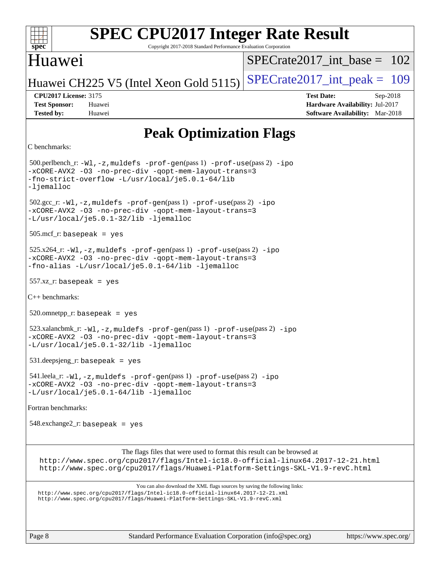#### **[spec](http://www.spec.org/) [SPEC CPU2017 Integer Rate Result](http://www.spec.org/auto/cpu2017/Docs/result-fields.html#SPECCPU2017IntegerRateResult)** Copyright 2017-2018 Standard Performance Evaluation Corporation Huawei Huawei CH225 V5 (Intel Xeon Gold 5115) SPECrate  $2017$ \_int\_peak = 109  $SPECrate2017\_int\_base = 102$ **[CPU2017 License:](http://www.spec.org/auto/cpu2017/Docs/result-fields.html#CPU2017License)** 3175 **[Test Date:](http://www.spec.org/auto/cpu2017/Docs/result-fields.html#TestDate)** Sep-2018 **[Test Sponsor:](http://www.spec.org/auto/cpu2017/Docs/result-fields.html#TestSponsor)** Huawei **[Hardware Availability:](http://www.spec.org/auto/cpu2017/Docs/result-fields.html#HardwareAvailability)** Jul-2017 **[Tested by:](http://www.spec.org/auto/cpu2017/Docs/result-fields.html#Testedby)** Huawei **[Software Availability:](http://www.spec.org/auto/cpu2017/Docs/result-fields.html#SoftwareAvailability)** Mar-2018 **[Peak Optimization Flags](http://www.spec.org/auto/cpu2017/Docs/result-fields.html#PeakOptimizationFlags)** [C benchmarks](http://www.spec.org/auto/cpu2017/Docs/result-fields.html#Cbenchmarks): 500.perlbench\_r: [-Wl,-z,muldefs](http://www.spec.org/cpu2017/results/res2018q4/cpu2017-20180913-08852.flags.html#user_peakEXTRA_LDFLAGS500_perlbench_r_link_force_multiple1_b4cbdb97b34bdee9ceefcfe54f4c8ea74255f0b02a4b23e853cdb0e18eb4525ac79b5a88067c842dd0ee6996c24547a27a4b99331201badda8798ef8a743f577) [-prof-gen](http://www.spec.org/cpu2017/results/res2018q4/cpu2017-20180913-08852.flags.html#user_peakPASS1_CFLAGSPASS1_LDFLAGS500_perlbench_r_prof_gen_5aa4926d6013ddb2a31985c654b3eb18169fc0c6952a63635c234f711e6e63dd76e94ad52365559451ec499a2cdb89e4dc58ba4c67ef54ca681ffbe1461d6b36)(pass 1) [-prof-use](http://www.spec.org/cpu2017/results/res2018q4/cpu2017-20180913-08852.flags.html#user_peakPASS2_CFLAGSPASS2_LDFLAGS500_perlbench_r_prof_use_1a21ceae95f36a2b53c25747139a6c16ca95bd9def2a207b4f0849963b97e94f5260e30a0c64f4bb623698870e679ca08317ef8150905d41bd88c6f78df73f19)(pass 2) [-ipo](http://www.spec.org/cpu2017/results/res2018q4/cpu2017-20180913-08852.flags.html#user_peakPASS1_COPTIMIZEPASS2_COPTIMIZE500_perlbench_r_f-ipo) [-xCORE-AVX2](http://www.spec.org/cpu2017/results/res2018q4/cpu2017-20180913-08852.flags.html#user_peakPASS2_COPTIMIZE500_perlbench_r_f-xCORE-AVX2) [-O3](http://www.spec.org/cpu2017/results/res2018q4/cpu2017-20180913-08852.flags.html#user_peakPASS1_COPTIMIZEPASS2_COPTIMIZE500_perlbench_r_f-O3) [-no-prec-div](http://www.spec.org/cpu2017/results/res2018q4/cpu2017-20180913-08852.flags.html#user_peakPASS1_COPTIMIZEPASS2_COPTIMIZE500_perlbench_r_f-no-prec-div) [-qopt-mem-layout-trans=3](http://www.spec.org/cpu2017/results/res2018q4/cpu2017-20180913-08852.flags.html#user_peakPASS1_COPTIMIZEPASS2_COPTIMIZE500_perlbench_r_f-qopt-mem-layout-trans_de80db37974c74b1f0e20d883f0b675c88c3b01e9d123adea9b28688d64333345fb62bc4a798493513fdb68f60282f9a726aa07f478b2f7113531aecce732043) [-fno-strict-overflow](http://www.spec.org/cpu2017/results/res2018q4/cpu2017-20180913-08852.flags.html#user_peakEXTRA_OPTIMIZE500_perlbench_r_f-fno-strict-overflow) [-L/usr/local/je5.0.1-64/lib](http://www.spec.org/cpu2017/results/res2018q4/cpu2017-20180913-08852.flags.html#user_peakEXTRA_LIBS500_perlbench_r_jemalloc_link_path64_4b10a636b7bce113509b17f3bd0d6226c5fb2346b9178c2d0232c14f04ab830f976640479e5c33dc2bcbbdad86ecfb6634cbbd4418746f06f368b512fced5394) [-ljemalloc](http://www.spec.org/cpu2017/results/res2018q4/cpu2017-20180913-08852.flags.html#user_peakEXTRA_LIBS500_perlbench_r_jemalloc_link_lib_d1249b907c500fa1c0672f44f562e3d0f79738ae9e3c4a9c376d49f265a04b9c99b167ecedbf6711b3085be911c67ff61f150a17b3472be731631ba4d0471706) 502.gcc\_r: [-Wl,-z,muldefs](http://www.spec.org/cpu2017/results/res2018q4/cpu2017-20180913-08852.flags.html#user_peakEXTRA_LDFLAGS502_gcc_r_link_force_multiple1_b4cbdb97b34bdee9ceefcfe54f4c8ea74255f0b02a4b23e853cdb0e18eb4525ac79b5a88067c842dd0ee6996c24547a27a4b99331201badda8798ef8a743f577) [-prof-gen](http://www.spec.org/cpu2017/results/res2018q4/cpu2017-20180913-08852.flags.html#user_peakPASS1_CFLAGSPASS1_LDFLAGS502_gcc_r_prof_gen_5aa4926d6013ddb2a31985c654b3eb18169fc0c6952a63635c234f711e6e63dd76e94ad52365559451ec499a2cdb89e4dc58ba4c67ef54ca681ffbe1461d6b36)(pass 1) [-prof-use](http://www.spec.org/cpu2017/results/res2018q4/cpu2017-20180913-08852.flags.html#user_peakPASS2_CFLAGSPASS2_LDFLAGS502_gcc_r_prof_use_1a21ceae95f36a2b53c25747139a6c16ca95bd9def2a207b4f0849963b97e94f5260e30a0c64f4bb623698870e679ca08317ef8150905d41bd88c6f78df73f19)(pass 2) [-ipo](http://www.spec.org/cpu2017/results/res2018q4/cpu2017-20180913-08852.flags.html#user_peakPASS1_COPTIMIZEPASS2_COPTIMIZE502_gcc_r_f-ipo) [-xCORE-AVX2](http://www.spec.org/cpu2017/results/res2018q4/cpu2017-20180913-08852.flags.html#user_peakPASS2_COPTIMIZE502_gcc_r_f-xCORE-AVX2) [-O3](http://www.spec.org/cpu2017/results/res2018q4/cpu2017-20180913-08852.flags.html#user_peakPASS1_COPTIMIZEPASS2_COPTIMIZE502_gcc_r_f-O3) [-no-prec-div](http://www.spec.org/cpu2017/results/res2018q4/cpu2017-20180913-08852.flags.html#user_peakPASS1_COPTIMIZEPASS2_COPTIMIZE502_gcc_r_f-no-prec-div) [-qopt-mem-layout-trans=3](http://www.spec.org/cpu2017/results/res2018q4/cpu2017-20180913-08852.flags.html#user_peakPASS1_COPTIMIZEPASS2_COPTIMIZE502_gcc_r_f-qopt-mem-layout-trans_de80db37974c74b1f0e20d883f0b675c88c3b01e9d123adea9b28688d64333345fb62bc4a798493513fdb68f60282f9a726aa07f478b2f7113531aecce732043)

[-L/usr/local/je5.0.1-32/lib](http://www.spec.org/cpu2017/results/res2018q4/cpu2017-20180913-08852.flags.html#user_peakEXTRA_LIBS502_gcc_r_jemalloc_link_path32_e29f22e8e6c17053bbc6a0971f5a9c01a601a06bb1a59df2084b77a2fe0a2995b64fd4256feaeea39eeba3aae142e96e2b2b0a28974019c0c0c88139a84f900a) [-ljemalloc](http://www.spec.org/cpu2017/results/res2018q4/cpu2017-20180913-08852.flags.html#user_peakEXTRA_LIBS502_gcc_r_jemalloc_link_lib_d1249b907c500fa1c0672f44f562e3d0f79738ae9e3c4a9c376d49f265a04b9c99b167ecedbf6711b3085be911c67ff61f150a17b3472be731631ba4d0471706)

505.mcf\_r: basepeak = yes

```
 525.x264_r: -Wl,-z,muldefs -prof-gen(pass 1) -prof-use(pass 2) -ipo
-xCORE-AVX2 -O3 -no-prec-div -qopt-mem-layout-trans=3
-fno-alias -L/usr/local/je5.0.1-64/lib -ljemalloc
```
 $557.xz$  r: basepeak = yes

[C++ benchmarks](http://www.spec.org/auto/cpu2017/Docs/result-fields.html#CXXbenchmarks):

 $520.$ omnetpp\_r: basepeak = yes

```
-prof-gen-prof-use-ipo-xCORE-AVX2 -O3 -no-prec-div -qopt-mem-layout-trans=3
-L/usr/local/je5.0.1-32/lib -ljemalloc
```
531.deepsjeng\_r: basepeak = yes

```
 541.leela_r: -Wl,-z,muldefs -prof-gen(pass 1) -prof-use(pass 2) -ipo
-xCORE-AVX2 -O3 -no-prec-div -qopt-mem-layout-trans=3
-L/usr/local/je5.0.1-64/lib -ljemalloc
```
[Fortran benchmarks:](http://www.spec.org/auto/cpu2017/Docs/result-fields.html#Fortranbenchmarks)

548.exchange2\_r: basepeak = yes

The flags files that were used to format this result can be browsed at

<http://www.spec.org/cpu2017/flags/Intel-ic18.0-official-linux64.2017-12-21.html> <http://www.spec.org/cpu2017/flags/Huawei-Platform-Settings-SKL-V1.9-revC.html>

You can also download the XML flags sources by saving the following links: <http://www.spec.org/cpu2017/flags/Intel-ic18.0-official-linux64.2017-12-21.xml> <http://www.spec.org/cpu2017/flags/Huawei-Platform-Settings-SKL-V1.9-revC.xml>